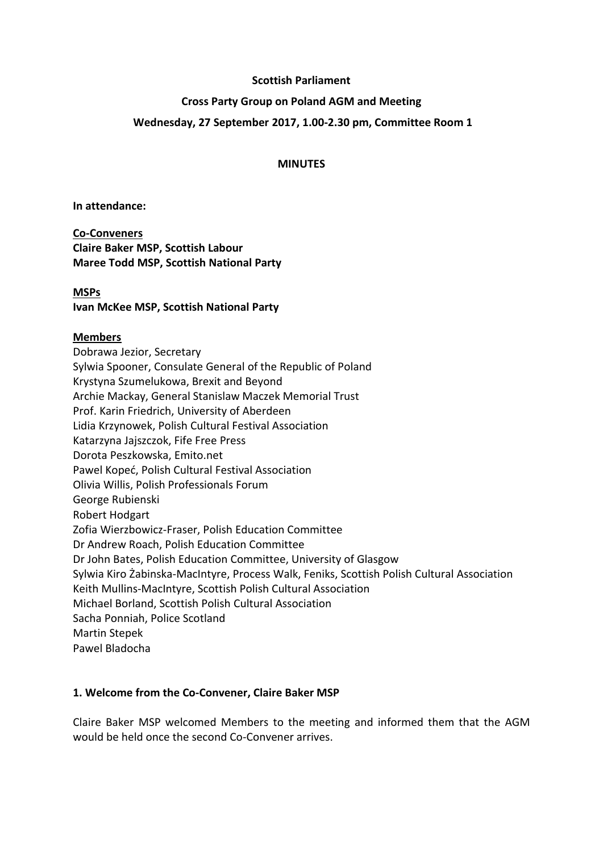#### **Scottish Parliament**

#### **Cross Party Group on Poland AGM and Meeting**

### **Wednesday, 27 September 2017, 1.00-2.30 pm, Committee Room 1**

#### **MINUTES**

**In attendance:**

**Co-Conveners Claire Baker MSP, Scottish Labour Maree Todd MSP, Scottish National Party**

#### **MSPs**

**Ivan McKee MSP, Scottish National Party**

### **Members**

Dobrawa Jezior, Secretary Sylwia Spooner, Consulate General of the Republic of Poland Krystyna Szumelukowa, Brexit and Beyond Archie Mackay, General Stanislaw Maczek Memorial Trust Prof. Karin Friedrich, University of Aberdeen Lidia Krzynowek, Polish Cultural Festival Association Katarzyna Jajszczok, Fife Free Press Dorota Peszkowska, Emito.net Pawel Kopeć, Polish Cultural Festival Association Olivia Willis, Polish Professionals Forum George Rubienski Robert Hodgart Zofia Wierzbowicz-Fraser, Polish Education Committee Dr Andrew Roach, Polish Education Committee Dr John Bates, Polish Education Committee, University of Glasgow Sylwia Kiro Żabinska-MacIntyre, Process Walk, Feniks, Scottish Polish Cultural Association Keith Mullins-MacIntyre, Scottish Polish Cultural Association Michael Borland, Scottish Polish Cultural Association Sacha Ponniah, Police Scotland Martin Stepek Pawel Bladocha

### **1. Welcome from the Co-Convener, Claire Baker MSP**

Claire Baker MSP welcomed Members to the meeting and informed them that the AGM would be held once the second Co-Convener arrives.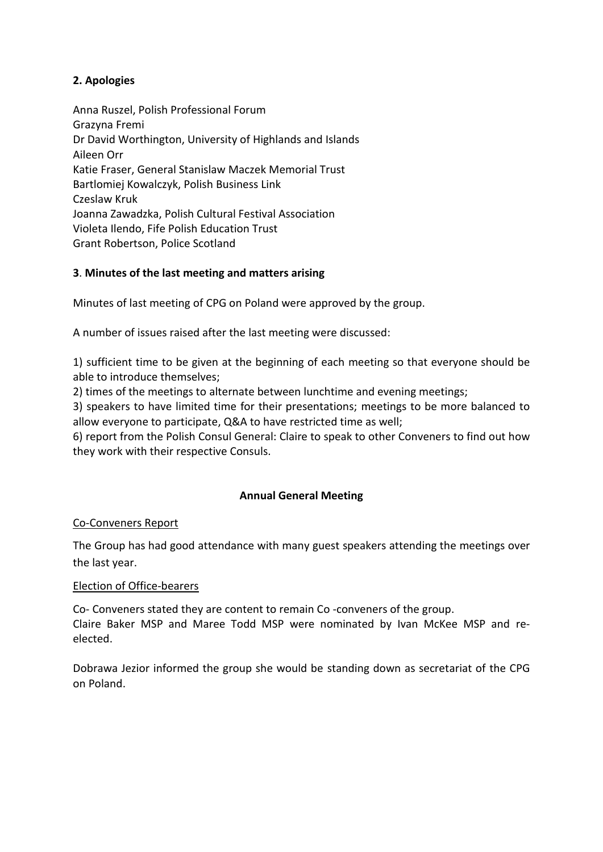# **2. Apologies**

Anna Ruszel, Polish Professional Forum Grazyna Fremi Dr David Worthington, University of Highlands and Islands Aileen Orr Katie Fraser, General Stanislaw Maczek Memorial Trust Bartlomiej Kowalczyk, Polish Business Link Czeslaw Kruk Joanna Zawadzka, Polish Cultural Festival Association Violeta Ilendo, Fife Polish Education Trust Grant Robertson, Police Scotland

## **3**. **Minutes of the last meeting and matters arising**

Minutes of last meeting of CPG on Poland were approved by the group.

A number of issues raised after the last meeting were discussed:

1) sufficient time to be given at the beginning of each meeting so that everyone should be able to introduce themselves;

2) times of the meetings to alternate between lunchtime and evening meetings;

3) speakers to have limited time for their presentations; meetings to be more balanced to allow everyone to participate, Q&A to have restricted time as well;

6) report from the Polish Consul General: Claire to speak to other Conveners to find out how they work with their respective Consuls.

## **Annual General Meeting**

## Co-Conveners Report

The Group has had good attendance with many guest speakers attending the meetings over the last year.

### Election of Office-bearers

Co- Conveners stated they are content to remain Co -conveners of the group. Claire Baker MSP and Maree Todd MSP were nominated by Ivan McKee MSP and reelected.

Dobrawa Jezior informed the group she would be standing down as secretariat of the CPG on Poland.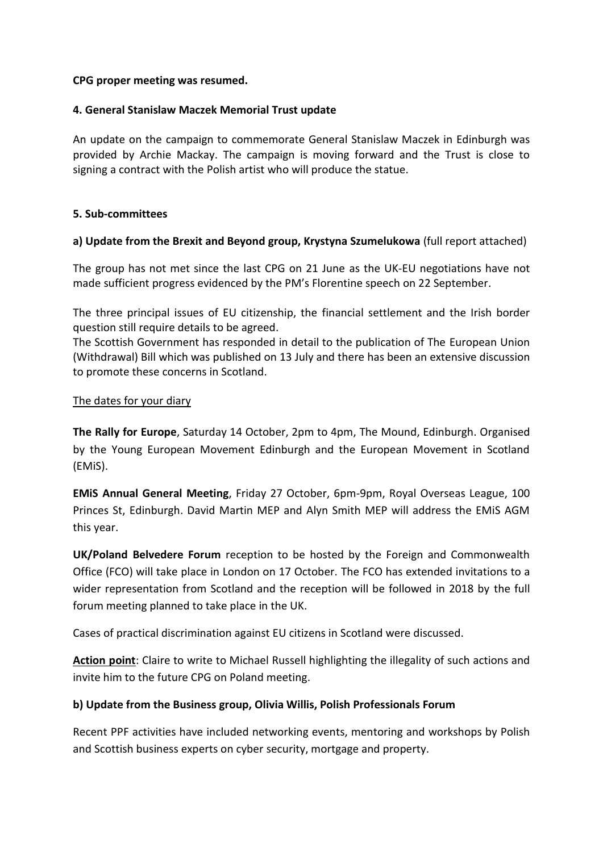### **CPG proper meeting was resumed.**

### **4. General Stanislaw Maczek Memorial Trust update**

An update on the campaign to commemorate General Stanislaw Maczek in Edinburgh was provided by Archie Mackay. The campaign is moving forward and the Trust is close to signing a contract with the Polish artist who will produce the statue.

### **5. Sub-committees**

### **a) Update from the Brexit and Beyond group, Krystyna Szumelukowa** (full report attached)

The group has not met since the last CPG on 21 June as the UK-EU negotiations have not made sufficient progress evidenced by the PM's Florentine speech on 22 September.

The three principal issues of EU citizenship, the financial settlement and the Irish border question still require details to be agreed.

The Scottish Government has responded in detail to the publication of The European Union (Withdrawal) Bill which was published on 13 July and there has been an extensive discussion to promote these concerns in Scotland.

### The dates for your diary

**The Rally for Europe**, Saturday 14 October, 2pm to 4pm, The Mound, Edinburgh. Organised by the Young European Movement Edinburgh and the European Movement in Scotland (EMiS).

**EMiS Annual General Meeting**, Friday 27 October, 6pm-9pm, Royal Overseas League, 100 Princes St, Edinburgh. David Martin MEP and Alyn Smith MEP will address the EMiS AGM this year.

**UK/Poland Belvedere Forum** reception to be hosted by the Foreign and Commonwealth Office (FCO) will take place in London on 17 October. The FCO has extended invitations to a wider representation from Scotland and the reception will be followed in 2018 by the full forum meeting planned to take place in the UK.

Cases of practical discrimination against EU citizens in Scotland were discussed.

**Action point**: Claire to write to Michael Russell highlighting the illegality of such actions and invite him to the future CPG on Poland meeting.

## **b) Update from the Business group, Olivia Willis, Polish Professionals Forum**

Recent PPF activities have included networking events, mentoring and workshops by Polish and Scottish business experts on cyber security, mortgage and property.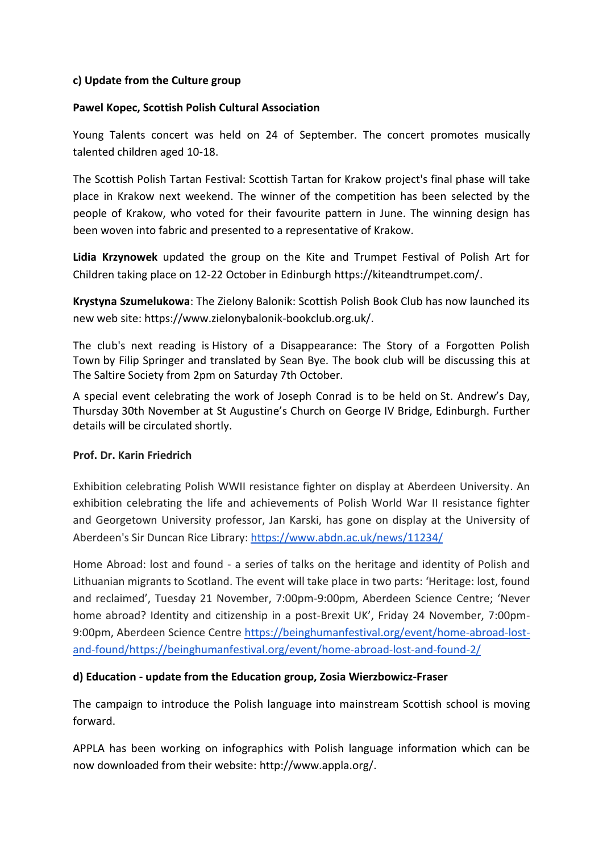### **c) Update from the Culture group**

### **Pawel Kopec, Scottish Polish Cultural Association**

Young Talents concert was held on 24 of September. The concert promotes musically talented children aged 10-18.

The Scottish Polish Tartan Festival: Scottish Tartan for Krakow project's final phase will take place in Krakow next weekend. The winner of the competition has been selected by the people of Krakow, who voted for their favourite pattern in June. The winning design has been woven into fabric and presented to a representative of Krakow.

**Lidia Krzynowek** updated the group on the Kite and Trumpet Festival of Polish Art for Children taking place on 12-22 October in Edinburgh https://kiteandtrumpet.com/.

**Krystyna Szumelukowa**: The Zielony Balonik: Scottish Polish Book Club has now launched its new web site: https://www.zielonybalonik-bookclub.org.uk/.

The club's next reading is History of a Disappearance: The Story of a Forgotten Polish Town by Filip Springer and translated by Sean Bye. The book club will be discussing this at The Saltire Society from 2pm on Saturday 7th October.

A special event celebrating the work of Joseph Conrad is to be held on St. Andrew's Day, Thursday 30th November at St Augustine's Church on George IV Bridge, Edinburgh. Further details will be circulated shortly.

### **Prof. Dr. Karin Friedrich**

Exhibition celebrating Polish WWII resistance fighter on display at Aberdeen University. An exhibition celebrating the life and achievements of Polish World War II resistance fighter and Georgetown University professor, Jan Karski, has gone on display at the University of Aberdeen's Sir Duncan Rice Library[: https://www.abdn.ac.uk/news/11234/](https://www.abdn.ac.uk/news/11234/)

Home Abroad: lost and found - a series of talks on the heritage and identity of Polish and Lithuanian migrants to Scotland. The event will take place in two parts: 'Heritage: lost, found and reclaimed', Tuesday 21 November, 7:00pm-9:00pm, Aberdeen Science Centre; 'Never home abroad? Identity and citizenship in a post-Brexit UK', Friday 24 November, 7:00pm-9:00pm, Aberdeen Science Centre [https://beinghumanfestival.org/event/home-abroad-lost](https://beinghumanfestival.org/event/home-abroad-lost-and-found/)[and-found/https://beinghumanfestival.org/event/home-abroad-lost-and-found-2/](https://beinghumanfestival.org/event/home-abroad-lost-and-found/)

### **d) Education - update from the Education group, Zosia Wierzbowicz-Fraser**

The campaign to introduce the Polish language into mainstream Scottish school is moving forward.

APPLA has been working on infographics with Polish language information which can be now downloaded from their website: http://www.appla.org/.